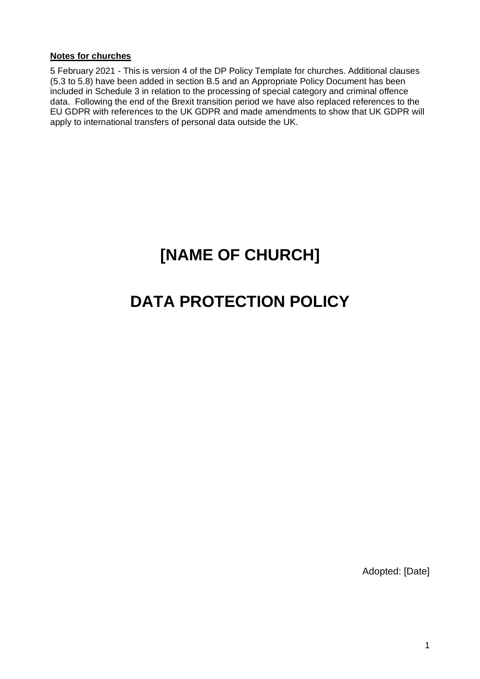#### **Notes for churches**

5 February 2021 - This is version 4 of the DP Policy Template for churches. Additional clauses (5.3 to 5.8) have been added in section B.5 and an Appropriate Policy Document has been included in Schedule 3 in relation to the processing of special category and criminal offence data. Following the end of the Brexit transition period we have also replaced references to the EU GDPR with references to the UK GDPR and made amendments to show that UK GDPR will apply to international transfers of personal data outside the UK.

# **[NAME OF CHURCH]**

# **DATA PROTECTION POLICY**

Adopted: [Date]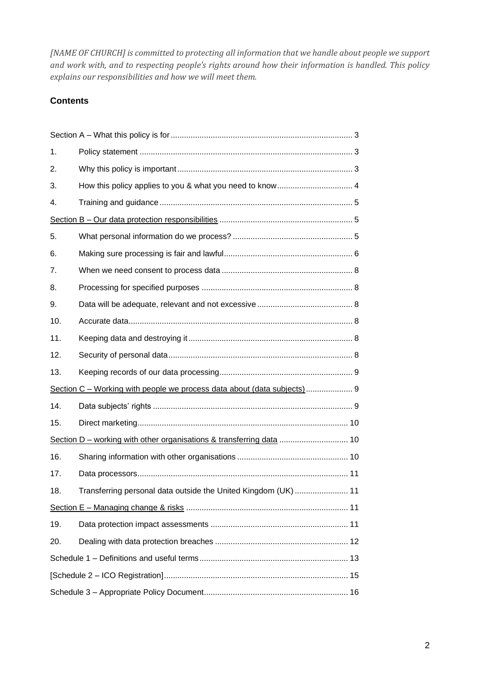*[NAME OF CHURCH] is committed to protecting all information that we handle about people we support and work with, and to respecting people's rights around how their information is handled. This policy explains our responsibilities and how we will meet them.*

# **Contents**

| 1.                                                                      |                                                                |
|-------------------------------------------------------------------------|----------------------------------------------------------------|
| 2.                                                                      |                                                                |
| 3.                                                                      |                                                                |
| 4.                                                                      |                                                                |
|                                                                         |                                                                |
| 5.                                                                      |                                                                |
| 6.                                                                      |                                                                |
| 7.                                                                      |                                                                |
| 8.                                                                      |                                                                |
| 9.                                                                      |                                                                |
| 10.                                                                     |                                                                |
| 11.                                                                     |                                                                |
| 12.                                                                     |                                                                |
| 13.                                                                     |                                                                |
| Section C - Working with people we process data about (data subjects) 9 |                                                                |
| 14.                                                                     |                                                                |
| 15.                                                                     |                                                                |
| Section D – working with other organisations & transferring data  10    |                                                                |
| 16.                                                                     |                                                                |
| 17.                                                                     |                                                                |
| 18.                                                                     | Transferring personal data outside the United Kingdom (UK)  11 |
|                                                                         |                                                                |
| 19.                                                                     |                                                                |
| 20.                                                                     |                                                                |
|                                                                         |                                                                |
|                                                                         |                                                                |
|                                                                         |                                                                |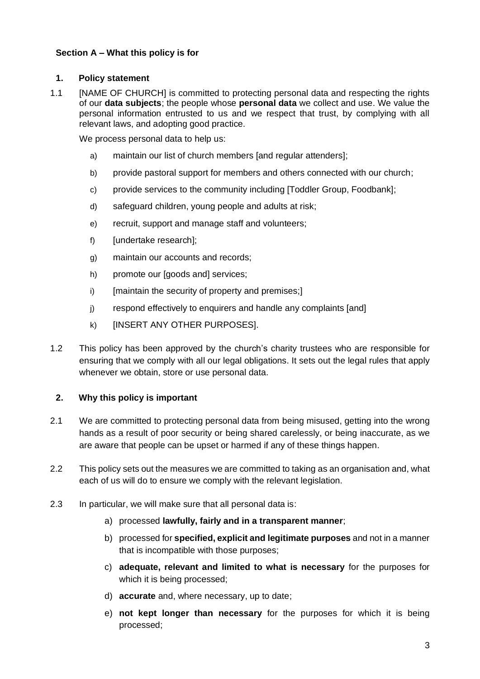# **Section A – What this policy is for**

## **1. Policy statement**

1.1 [NAME OF CHURCH] is committed to protecting personal data and respecting the rights of our **data subjects**; the people whose **personal data** we collect and use. We value the personal information entrusted to us and we respect that trust, by complying with all relevant laws, and adopting good practice.

We process personal data to help us:

- a) maintain our list of church members [and regular attenders];
- b) provide pastoral support for members and others connected with our church;
- c) provide services to the community including [Toddler Group, Foodbank];
- d) safeguard children, young people and adults at risk;
- e) recruit, support and manage staff and volunteers;
- f) [undertake research];
- g) maintain our accounts and records;
- h) promote our [goods and] services;
- i) [maintain the security of property and premises;]
- j) respond effectively to enquirers and handle any complaints [and]
- k) [INSERT ANY OTHER PURPOSES].
- 1.2 This policy has been approved by the church's charity trustees who are responsible for ensuring that we comply with all our legal obligations. It sets out the legal rules that apply whenever we obtain, store or use personal data.

## **2. Why this policy is important**

- 2.1 We are committed to protecting personal data from being misused, getting into the wrong hands as a result of poor security or being shared carelessly, or being inaccurate, as we are aware that people can be upset or harmed if any of these things happen.
- 2.2 This policy sets out the measures we are committed to taking as an organisation and, what each of us will do to ensure we comply with the relevant legislation.
- 2.3 In particular, we will make sure that all personal data is:
	- a) processed **lawfully, fairly and in a transparent manner**;
	- b) processed for **specified, explicit and legitimate purposes** and not in a manner that is incompatible with those purposes;
	- c) **adequate, relevant and limited to what is necessary** for the purposes for which it is being processed;
	- d) **accurate** and, where necessary, up to date;
	- e) **not kept longer than necessary** for the purposes for which it is being processed;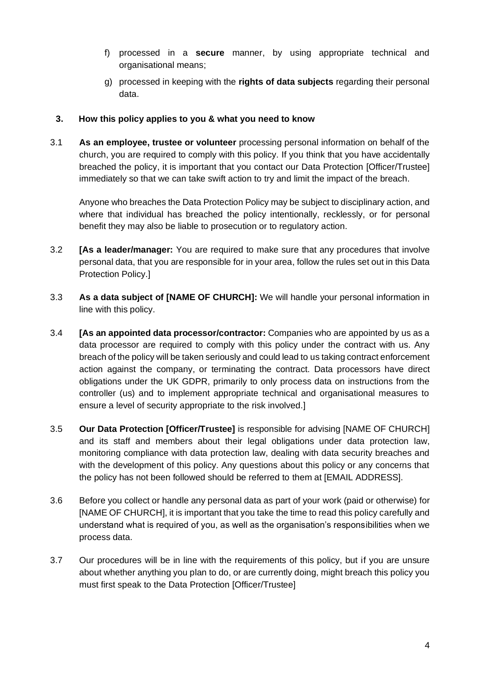- f) processed in a **secure** manner, by using appropriate technical and organisational means;
- g) processed in keeping with the **rights of data subjects** regarding their personal data.

## **3. How this policy applies to you & what you need to know**

3.1 **As an employee, trustee or volunteer** processing personal information on behalf of the church, you are required to comply with this policy. If you think that you have accidentally breached the policy, it is important that you contact our Data Protection [Officer/Trustee] immediately so that we can take swift action to try and limit the impact of the breach.

Anyone who breaches the Data Protection Policy may be subject to disciplinary action, and where that individual has breached the policy intentionally, recklessly, or for personal benefit they may also be liable to prosecution or to regulatory action.

- 3.2 **[As a leader/manager:** You are required to make sure that any procedures that involve personal data, that you are responsible for in your area, follow the rules set out in this Data Protection Policy.]
- 3.3 **As a data subject of [NAME OF CHURCH]:** We will handle your personal information in line with this policy.
- 3.4 **[As an appointed data processor/contractor:** Companies who are appointed by us as a data processor are required to comply with this policy under the contract with us. Any breach of the policy will be taken seriously and could lead to us taking contract enforcement action against the company, or terminating the contract. Data processors have direct obligations under the UK GDPR, primarily to only process data on instructions from the controller (us) and to implement appropriate technical and organisational measures to ensure a level of security appropriate to the risk involved.]
- 3.5 **Our Data Protection [Officer/Trustee]** is responsible for advising [NAME OF CHURCH] and its staff and members about their legal obligations under data protection law, monitoring compliance with data protection law, dealing with data security breaches and with the development of this policy. Any questions about this policy or any concerns that the policy has not been followed should be referred to them at [EMAIL ADDRESS].
- 3.6 Before you collect or handle any personal data as part of your work (paid or otherwise) for [NAME OF CHURCH], it is important that you take the time to read this policy carefully and understand what is required of you, as well as the organisation's responsibilities when we process data.
- 3.7 Our procedures will be in line with the requirements of this policy, but if you are unsure about whether anything you plan to do, or are currently doing, might breach this policy you must first speak to the Data Protection [Officer/Trustee]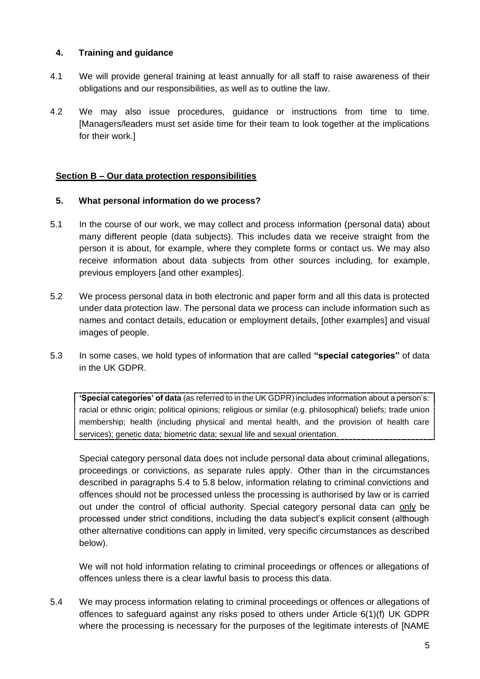## **4. Training and guidance**

- 4.1 We will provide general training at least annually for all staff to raise awareness of their obligations and our responsibilities, as well as to outline the law.
- 4.2 We may also issue procedures, guidance or instructions from time to time. [Managers/leaders must set aside time for their team to look together at the implications for their work.]

## **Section B – Our data protection responsibilities**

## **5. What personal information do we process?**

- 5.1 In the course of our work, we may collect and process information (personal data) about many different people (data subjects). This includes data we receive straight from the person it is about, for example, where they complete forms or contact us. We may also receive information about data subjects from other sources including, for example, previous employers [and other examples].
- 5.2 We process personal data in both electronic and paper form and all this data is protected under data protection law. The personal data we process can include information such as names and contact details, education or employment details, [other examples] and visual images of people.
- 5.3 In some cases, we hold types of information that are called **"special categories"** of data in the UK GDPR.

**'Special categories' of data** (as referred to in the UK GDPR) includes information about a person's: racial or ethnic origin; political opinions; religious or similar (e.g. philosophical) beliefs; trade union membership; health (including physical and mental health, and the provision of health care services); genetic data; biometric data; sexual life and sexual orientation.

Special category personal data does not include personal data about criminal allegations, proceedings or convictions, as separate rules apply. Other than in the circumstances described in paragraphs 5.4 to 5.8 below, information relating to criminal convictions and offences should not be processed unless the processing is authorised by law or is carried out under the control of official authority. Special category personal data can only be processed under strict conditions, including the data subject's explicit consent (although other alternative conditions can apply in limited, very specific circumstances as described below).

We will not hold information relating to criminal proceedings or offences or allegations of offences unless there is a clear lawful basis to process this data.

5.4 We may process information relating to criminal proceedings or offences or allegations of offences to safeguard against any risks posed to others under Article 6(1)(f) UK GDPR where the processing is necessary for the purposes of the legitimate interests of [NAME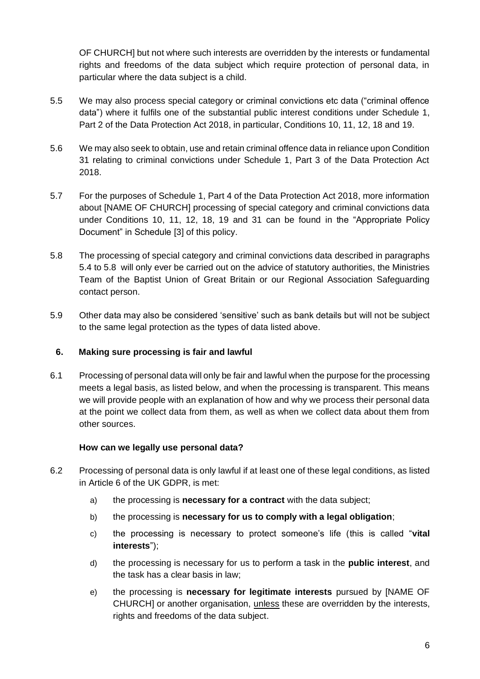OF CHURCH] but not where such interests are overridden by the interests or fundamental rights and freedoms of the data subject which require protection of personal data, in particular where the data subject is a child.

- 5.5 We may also process special category or criminal convictions etc data ("criminal offence data") where it fulfils one of the substantial public interest conditions under Schedule 1, Part 2 of the Data Protection Act 2018, in particular, Conditions 10, 11, 12, 18 and 19.
- 5.6 We may also seek to obtain, use and retain criminal offence data in reliance upon Condition 31 relating to criminal convictions under Schedule 1, Part 3 of the Data Protection Act 2018.
- 5.7 For the purposes of Schedule 1, Part 4 of the Data Protection Act 2018, more information about [NAME OF CHURCH] processing of special category and criminal convictions data under Conditions 10, 11, 12, 18, 19 and 31 can be found in the "Appropriate Policy Document" in Schedule [3] of this policy.
- 5.8 The processing of special category and criminal convictions data described in paragraphs 5.4 to 5.8 will only ever be carried out on the advice of statutory authorities, the Ministries Team of the Baptist Union of Great Britain or our Regional Association Safeguarding contact person.
- 5.9 Other data may also be considered 'sensitive' such as bank details but will not be subject to the same legal protection as the types of data listed above.

## **6. Making sure processing is fair and lawful**

6.1 Processing of personal data will only be fair and lawful when the purpose for the processing meets a legal basis, as listed below, and when the processing is transparent. This means we will provide people with an explanation of how and why we process their personal data at the point we collect data from them, as well as when we collect data about them from other sources.

#### **How can we legally use personal data?**

- 6.2 Processing of personal data is only lawful if at least one of these legal conditions, as listed in Article 6 of the UK GDPR, is met:
	- a) the processing is **necessary for a contract** with the data subject;
	- b) the processing is **necessary for us to comply with a legal obligation**;
	- c) the processing is necessary to protect someone's life (this is called "**vital interests**");
	- d) the processing is necessary for us to perform a task in the **public interest**, and the task has a clear basis in law;
	- e) the processing is **necessary for legitimate interests** pursued by [NAME OF CHURCH] or another organisation, unless these are overridden by the interests, rights and freedoms of the data subject.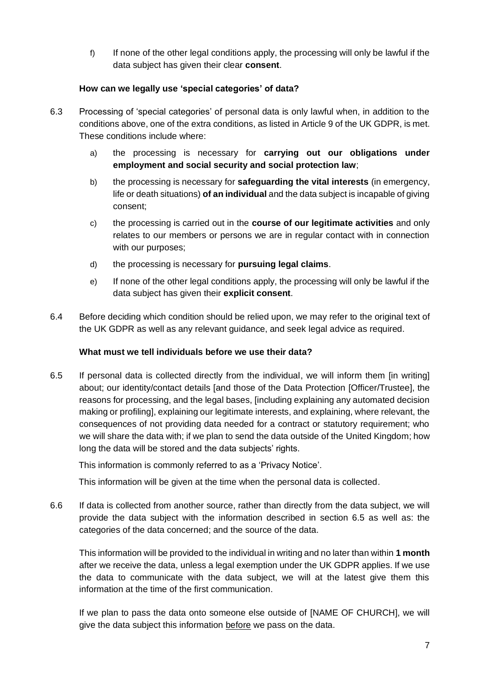f) If none of the other legal conditions apply, the processing will only be lawful if the data subject has given their clear **consent**.

## **How can we legally use 'special categories' of data?**

- 6.3 Processing of 'special categories' of personal data is only lawful when, in addition to the conditions above, one of the extra conditions, as listed in Article 9 of the UK GDPR, is met. These conditions include where:
	- a) the processing is necessary for **carrying out our obligations under employment and social security and social protection law**;
	- b) the processing is necessary for **safeguarding the vital interests** (in emergency, life or death situations) **of an individual** and the data subject is incapable of giving consent;
	- c) the processing is carried out in the **course of our legitimate activities** and only relates to our members or persons we are in regular contact with in connection with our purposes;
	- d) the processing is necessary for **pursuing legal claims**.
	- e) If none of the other legal conditions apply, the processing will only be lawful if the data subject has given their **explicit consent**.
- 6.4 Before deciding which condition should be relied upon, we may refer to the original text of the UK GDPR as well as any relevant guidance, and seek legal advice as required.

## **What must we tell individuals before we use their data?**

<span id="page-6-0"></span>6.5 If personal data is collected directly from the individual, we will inform them [in writing] about; our identity/contact details [and those of the Data Protection [Officer/Trustee], the reasons for processing, and the legal bases, [including explaining any automated decision making or profiling], explaining our legitimate interests, and explaining, where relevant, the consequences of not providing data needed for a contract or statutory requirement; who we will share the data with; if we plan to send the data outside of the United Kingdom; how long the data will be stored and the data subjects' rights.

This information is commonly referred to as a 'Privacy Notice'.

This information will be given at the time when the personal data is collected.

6.6 If data is collected from another source, rather than directly from the data subject, we will provide the data subject with the information described in section [6.5](#page-6-0) as well as: the categories of the data concerned; and the source of the data.

This information will be provided to the individual in writing and no later than within **1 month** after we receive the data, unless a legal exemption under the UK GDPR applies. If we use the data to communicate with the data subject, we will at the latest give them this information at the time of the first communication.

If we plan to pass the data onto someone else outside of [NAME OF CHURCH], we will give the data subject this information before we pass on the data.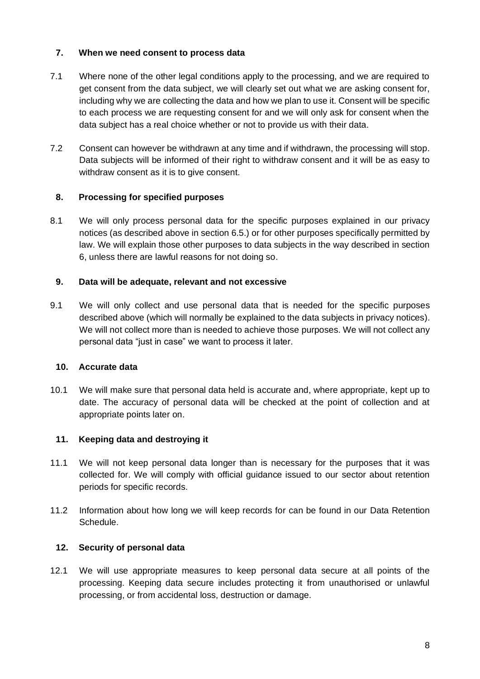## **7. When we need consent to process data**

- 7.1 Where none of the other legal conditions apply to the processing, and we are required to get consent from the data subject, we will clearly set out what we are asking consent for, including why we are collecting the data and how we plan to use it. Consent will be specific to each process we are requesting consent for and we will only ask for consent when the data subject has a real choice whether or not to provide us with their data.
- 7.2 Consent can however be withdrawn at any time and if withdrawn, the processing will stop. Data subjects will be informed of their right to withdraw consent and it will be as easy to withdraw consent as it is to give consent.

## **8. Processing for specified purposes**

8.1 We will only process personal data for the specific purposes explained in our privacy notices (as described above in section [6.5.](#page-6-0)) or for other purposes specifically permitted by law. We will explain those other purposes to data subjects in the way described in section 6, unless there are lawful reasons for not doing so.

# **9. Data will be adequate, relevant and not excessive**

9.1 We will only collect and use personal data that is needed for the specific purposes described above (which will normally be explained to the data subjects in privacy notices). We will not collect more than is needed to achieve those purposes. We will not collect any personal data "just in case" we want to process it later.

## **10. Accurate data**

10.1 We will make sure that personal data held is accurate and, where appropriate, kept up to date. The accuracy of personal data will be checked at the point of collection and at appropriate points later on.

## **11. Keeping data and destroying it**

- 11.1 We will not keep personal data longer than is necessary for the purposes that it was collected for. We will comply with official guidance issued to our sector about retention periods for specific records.
- 11.2 Information about how long we will keep records for can be found in our Data Retention Schedule.

## **12. Security of personal data**

12.1 We will use appropriate measures to keep personal data secure at all points of the processing. Keeping data secure includes protecting it from unauthorised or unlawful processing, or from accidental loss, destruction or damage.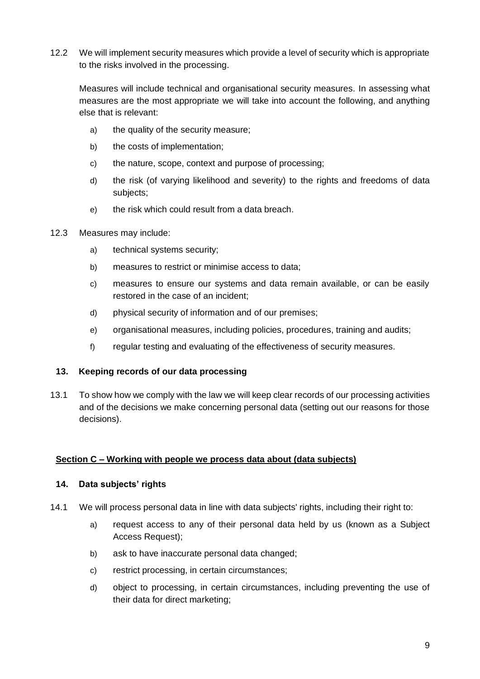12.2 We will implement security measures which provide a level of security which is appropriate to the risks involved in the processing.

Measures will include technical and organisational security measures. In assessing what measures are the most appropriate we will take into account the following, and anything else that is relevant:

- a) the quality of the security measure;
- b) the costs of implementation;
- c) the nature, scope, context and purpose of processing;
- d) the risk (of varying likelihood and severity) to the rights and freedoms of data subjects;
- e) the risk which could result from a data breach.
- 12.3 Measures may include:
	- a) technical systems security;
	- b) measures to restrict or minimise access to data;
	- c) measures to ensure our systems and data remain available, or can be easily restored in the case of an incident;
	- d) physical security of information and of our premises;
	- e) organisational measures, including policies, procedures, training and audits;
	- f) regular testing and evaluating of the effectiveness of security measures.

#### **13. Keeping records of our data processing**

13.1 To show how we comply with the law we will keep clear records of our processing activities and of the decisions we make concerning personal data (setting out our reasons for those decisions).

# **Section C – Working with people we process data about (data subjects)**

#### **14. Data subjects' rights**

- 14.1 We will process personal data in line with data subjects' rights, including their right to:
	- a) request access to any of their personal data held by us (known as a Subject Access Request);
	- b) ask to have inaccurate personal data changed;
	- c) restrict processing, in certain circumstances;
	- d) object to processing, in certain circumstances, including preventing the use of their data for direct marketing;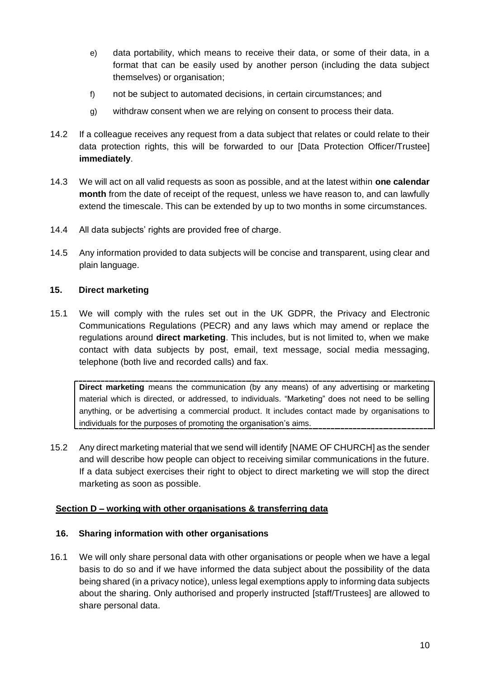- e) data portability, which means to receive their data, or some of their data, in a format that can be easily used by another person (including the data subject themselves) or organisation;
- f) not be subject to automated decisions, in certain circumstances; and
- g) withdraw consent when we are relying on consent to process their data.
- 14.2 If a colleague receives any request from a data subject that relates or could relate to their data protection rights, this will be forwarded to our [Data Protection Officer/Trustee] **immediately**.
- 14.3 We will act on all valid requests as soon as possible, and at the latest within **one calendar month** from the date of receipt of the request, unless we have reason to, and can lawfully extend the timescale. This can be extended by up to two months in some circumstances.
- 14.4 All data subjects' rights are provided free of charge.
- 14.5 Any information provided to data subjects will be concise and transparent, using clear and plain language.

## **15. Direct marketing**

15.1 We will comply with the rules set out in the UK GDPR, the Privacy and Electronic Communications Regulations (PECR) and any laws which may amend or replace the regulations around **direct marketing**. This includes, but is not limited to, when we make contact with data subjects by post, email, text message, social media messaging, telephone (both live and recorded calls) and fax.

**Direct marketing** means the communication (by any means) of any advertising or marketing material which is directed, or addressed, to individuals. "Marketing" does not need to be selling anything, or be advertising a commercial product. It includes contact made by organisations to individuals for the purposes of promoting the organisation's aims.

15.2 Any direct marketing material that we send will identify [NAME OF CHURCH] as the sender and will describe how people can object to receiving similar communications in the future. If a data subject exercises their right to object to direct marketing we will stop the direct marketing as soon as possible.

#### **Section D – working with other organisations & transferring data**

#### **16. Sharing information with other organisations**

16.1 We will only share personal data with other organisations or people when we have a legal basis to do so and if we have informed the data subject about the possibility of the data being shared (in a privacy notice), unless legal exemptions apply to informing data subjects about the sharing. Only authorised and properly instructed [staff/Trustees] are allowed to share personal data.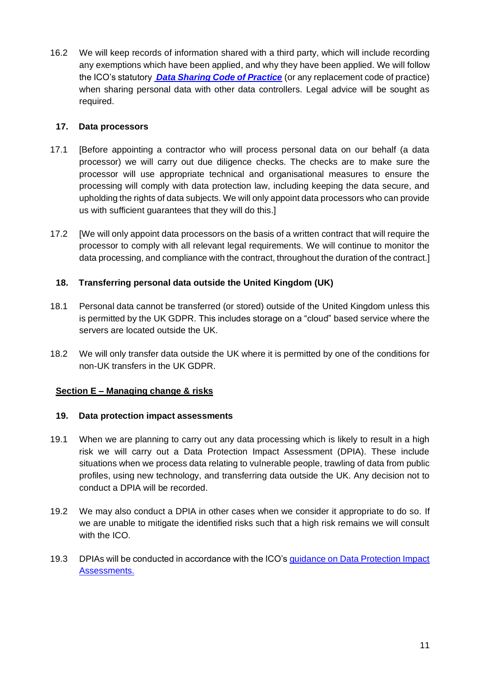16.2 We will keep records of information shared with a third party, which will include recording any exemptions which have been applied, and why they have been applied. We will follow the ICO's statutory *[Data Sharing Code of Practice](https://ico.org.uk/for-organisations/data-sharing-information-hub/)* (or any replacement code of practice) when sharing personal data with other data controllers. Legal advice will be sought as required.

## **17. Data processors**

- 17.1 [Before appointing a contractor who will process personal data on our behalf (a data processor) we will carry out due diligence checks. The checks are to make sure the processor will use appropriate technical and organisational measures to ensure the processing will comply with data protection law, including keeping the data secure, and upholding the rights of data subjects. We will only appoint data processors who can provide us with sufficient guarantees that they will do this.]
- 17.2 [We will only appoint data processors on the basis of a written contract that will require the processor to comply with all relevant legal requirements. We will continue to monitor the data processing, and compliance with the contract, throughout the duration of the contract.]

## **18. Transferring personal data outside the United Kingdom (UK)**

- 18.1 Personal data cannot be transferred (or stored) outside of the United Kingdom unless this is permitted by the UK GDPR. This includes storage on a "cloud" based service where the servers are located outside the UK.
- 18.2 We will only transfer data outside the UK where it is permitted by one of the conditions for non-UK transfers in the UK GDPR.

## **Section E – Managing change & risks**

#### **19. Data protection impact assessments**

- 19.1 When we are planning to carry out any data processing which is likely to result in a high risk we will carry out a Data Protection Impact Assessment (DPIA). These include situations when we process data relating to vulnerable people, trawling of data from public profiles, using new technology, and transferring data outside the UK. Any decision not to conduct a DPIA will be recorded.
- 19.2 We may also conduct a DPIA in other cases when we consider it appropriate to do so. If we are unable to mitigate the identified risks such that a high risk remains we will consult with the ICO.
- 19.3 DPIAs will be conducted in accordance with the ICO's [guidance on Data Protection Impact](https://ico.org.uk/for-organisations/guide-to-data-protection/guide-to-the-general-data-protection-regulation-gdpr/accountability-and-governance/data-protection-impact-assessments/)  [Assessments.](https://ico.org.uk/for-organisations/guide-to-data-protection/guide-to-the-general-data-protection-regulation-gdpr/accountability-and-governance/data-protection-impact-assessments/)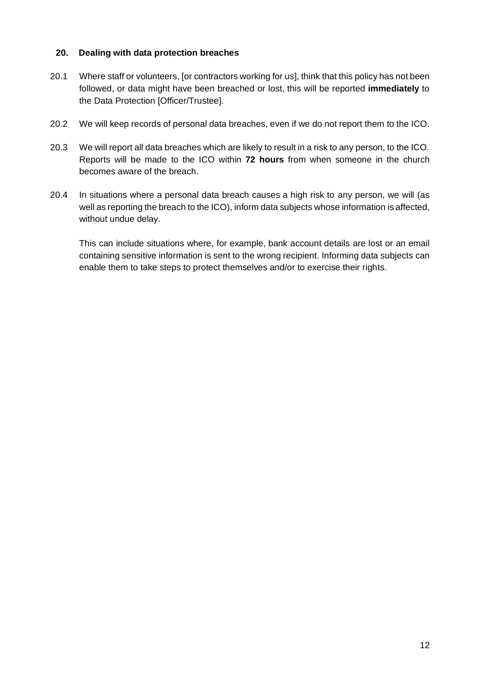## **20. Dealing with data protection breaches**

- 20.1 Where staff or volunteers, [or contractors working for us], think that this policy has not been followed, or data might have been breached or lost, this will be reported **immediately** to the Data Protection [Officer/Trustee].
- 20.2 We will keep records of personal data breaches, even if we do not report them to the ICO.
- 20.3 We will report all data breaches which are likely to result in a risk to any person, to the ICO. Reports will be made to the ICO within **72 hours** from when someone in the church becomes aware of the breach.
- 20.4 In situations where a personal data breach causes a high risk to any person, we will (as well as reporting the breach to the ICO), inform data subjects whose information is affected, without undue delay.

This can include situations where, for example, bank account details are lost or an email containing sensitive information is sent to the wrong recipient. Informing data subjects can enable them to take steps to protect themselves and/or to exercise their rights.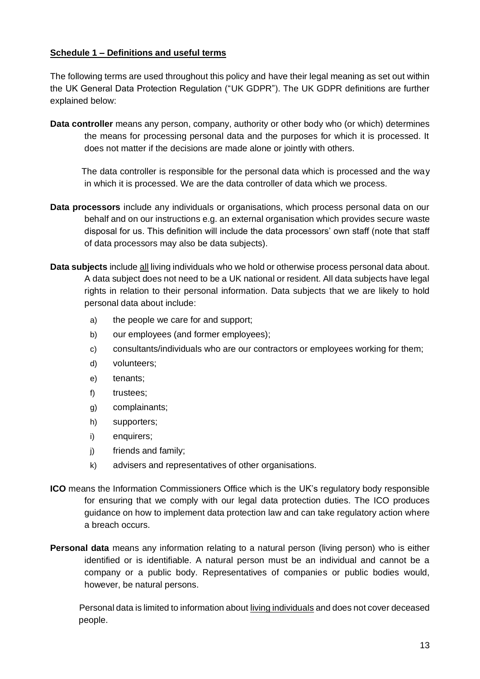## **Schedule 1 – Definitions and useful terms**

The following terms are used throughout this policy and have their legal meaning as set out within the UK General Data Protection Regulation ("UK GDPR"). The UK GDPR definitions are further explained below:

**Data controller** means any person, company, authority or other body who (or which) determines the means for processing personal data and the purposes for which it is processed. It does not matter if the decisions are made alone or jointly with others.

The data controller is responsible for the personal data which is processed and the way in which it is processed. We are the data controller of data which we process.

- **Data processors** include any individuals or organisations, which process personal data on our behalf and on our instructions e.g. an external organisation which provides secure waste disposal for us. This definition will include the data processors' own staff (note that staff of data processors may also be data subjects).
- **Data subjects** include all living individuals who we hold or otherwise process personal data about. A data subject does not need to be a UK national or resident. All data subjects have legal rights in relation to their personal information. Data subjects that we are likely to hold personal data about include:
	- a) the people we care for and support;
	- b) our employees (and former employees);
	- c) consultants/individuals who are our contractors or employees working for them;
	- d) volunteers;
	- e) tenants;
	- f) trustees;
	- g) complainants;
	- h) supporters;
	- i) enquirers;
	- j) friends and family;
	- k) advisers and representatives of other organisations.
- **ICO** means the Information Commissioners Office which is the UK's regulatory body responsible for ensuring that we comply with our legal data protection duties. The ICO produces guidance on how to implement data protection law and can take regulatory action where a breach occurs.
- **Personal data** means any information relating to a natural person (living person) who is either identified or is identifiable. A natural person must be an individual and cannot be a company or a public body. Representatives of companies or public bodies would, however, be natural persons.

Personal data is limited to information about living individuals and does not cover deceased people.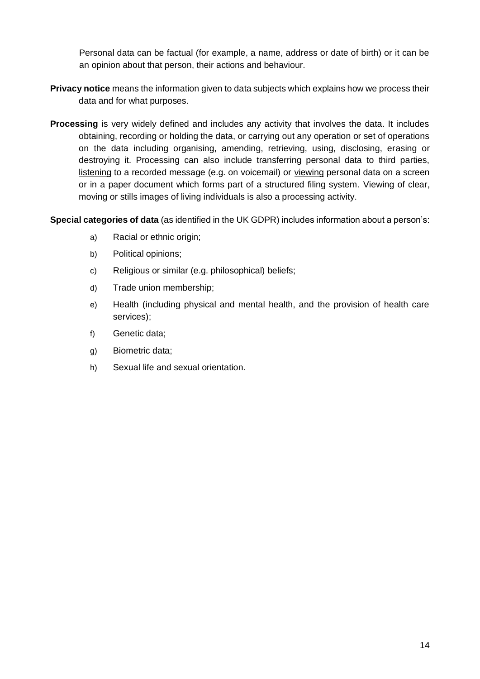Personal data can be factual (for example, a name, address or date of birth) or it can be an opinion about that person, their actions and behaviour.

- **Privacy notice** means the information given to data subjects which explains how we process their data and for what purposes.
- **Processing** is very widely defined and includes any activity that involves the data. It includes obtaining, recording or holding the data, or carrying out any operation or set of operations on the data including organising, amending, retrieving, using, disclosing, erasing or destroying it. Processing can also include transferring personal data to third parties, listening to a recorded message (e.g. on voicemail) or viewing personal data on a screen or in a paper document which forms part of a structured filing system. Viewing of clear, moving or stills images of living individuals is also a processing activity.

**Special categories of data** (as identified in the UK GDPR) includes information about a person's:

- a) Racial or ethnic origin;
- b) Political opinions;
- c) Religious or similar (e.g. philosophical) beliefs;
- d) Trade union membership;
- e) Health (including physical and mental health, and the provision of health care services);
- f) Genetic data;
- g) Biometric data;
- h) Sexual life and sexual orientation.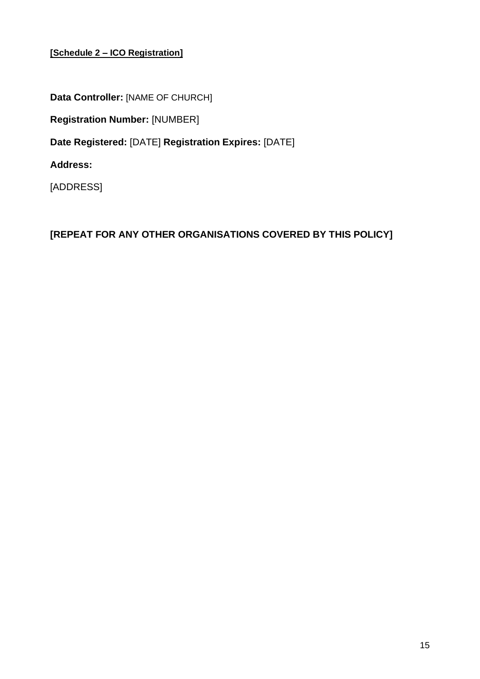# **[Schedule 2 – ICO Registration]**

**Data Controller:** [NAME OF CHURCH]

**Registration Number:** [NUMBER]

**Date Registered:** [DATE] **Registration Expires:** [DATE]

**Address:**

[ADDRESS]

**[REPEAT FOR ANY OTHER ORGANISATIONS COVERED BY THIS POLICY]**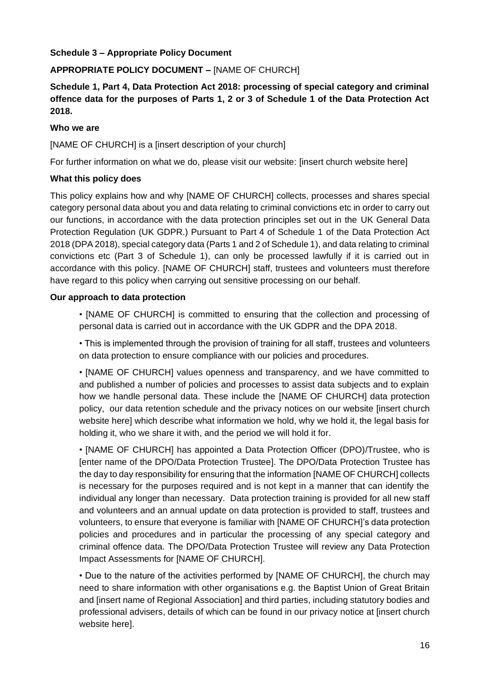# **Schedule 3 – Appropriate Policy Document**

# **APPROPRIATE POLICY DOCUMENT –** [NAME OF CHURCH]

# **Schedule 1, Part 4, Data Protection Act 2018: processing of special category and criminal offence data for the purposes of Parts 1, 2 or 3 of Schedule 1 of the Data Protection Act 2018.**

#### **Who we are**

[NAME OF CHURCH] is a [insert description of your church]

For further information on what we do, please visit our website: [insert church website here]

## **What this policy does**

This policy explains how and why [NAME OF CHURCH] collects, processes and shares special category personal data about you and data relating to criminal convictions etc in order to carry out our functions, in accordance with the data protection principles set out in the UK General Data Protection Regulation (UK GDPR.) Pursuant to Part 4 of Schedule 1 of the Data Protection Act 2018 (DPA 2018), special category data (Parts 1 and 2 of Schedule 1), and data relating to criminal convictions etc (Part 3 of Schedule 1), can only be processed lawfully if it is carried out in accordance with this policy. [NAME OF CHURCH] staff, trustees and volunteers must therefore have regard to this policy when carrying out sensitive processing on our behalf.

## **Our approach to data protection**

• [NAME OF CHURCH] is committed to ensuring that the collection and processing of personal data is carried out in accordance with the UK GDPR and the DPA 2018.

• This is implemented through the provision of training for all staff, trustees and volunteers on data protection to ensure compliance with our policies and procedures.

• [NAME OF CHURCH] values openness and transparency, and we have committed to and published a number of policies and processes to assist data subjects and to explain how we handle personal data. These include the [NAME OF CHURCH] data protection policy, our data retention schedule and the privacy notices on our website [insert church website here] which describe what information we hold, why we hold it, the legal basis for holding it, who we share it with, and the period we will hold it for.

• [NAME OF CHURCH] has appointed a Data Protection Officer (DPO)/Trustee, who is [enter name of the DPO/Data Protection Trustee]. The DPO/Data Protection Trustee has the day to day responsibility for ensuring that the information [NAME OF CHURCH] collects is necessary for the purposes required and is not kept in a manner that can identify the individual any longer than necessary. Data protection training is provided for all new staff and volunteers and an annual update on data protection is provided to staff, trustees and volunteers, to ensure that everyone is familiar with [NAME OF CHURCH]'s data protection policies and procedures and in particular the processing of any special category and criminal offence data. The DPO/Data Protection Trustee will review any Data Protection Impact Assessments for [NAME OF CHURCH].

• Due to the nature of the activities performed by [NAME OF CHURCH], the church may need to share information with other organisations e.g. the Baptist Union of Great Britain and [insert name of Regional Association] and third parties, including statutory bodies and professional advisers, details of which can be found in our privacy notice at [insert church website here].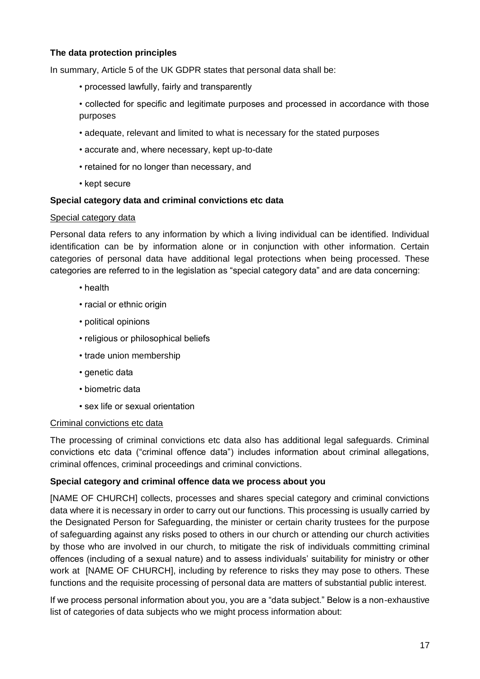# **The data protection principles**

In summary, Article 5 of the UK GDPR states that personal data shall be:

- processed lawfully, fairly and transparently
- collected for specific and legitimate purposes and processed in accordance with those purposes
- adequate, relevant and limited to what is necessary for the stated purposes
- accurate and, where necessary, kept up-to-date
- retained for no longer than necessary, and
- kept secure

## **Special category data and criminal convictions etc data**

#### Special category data

Personal data refers to any information by which a living individual can be identified. Individual identification can be by information alone or in conjunction with other information. Certain categories of personal data have additional legal protections when being processed. These categories are referred to in the legislation as "special category data" and are data concerning:

- health
- racial or ethnic origin
- political opinions
- religious or philosophical beliefs
- trade union membership
- genetic data
- biometric data
- sex life or sexual orientation

#### Criminal convictions etc data

The processing of criminal convictions etc data also has additional legal safeguards. Criminal convictions etc data ("criminal offence data") includes information about criminal allegations, criminal offences, criminal proceedings and criminal convictions.

#### **Special category and criminal offence data we process about you**

[NAME OF CHURCH] collects, processes and shares special category and criminal convictions data where it is necessary in order to carry out our functions. This processing is usually carried by the Designated Person for Safeguarding, the minister or certain charity trustees for the purpose of safeguarding against any risks posed to others in our church or attending our church activities by those who are involved in our church, to mitigate the risk of individuals committing criminal offences (including of a sexual nature) and to assess individuals' suitability for ministry or other work at [NAME OF CHURCH], including by reference to risks they may pose to others. These functions and the requisite processing of personal data are matters of substantial public interest.

If we process personal information about you, you are a "data subject." Below is a non-exhaustive list of categories of data subjects who we might process information about: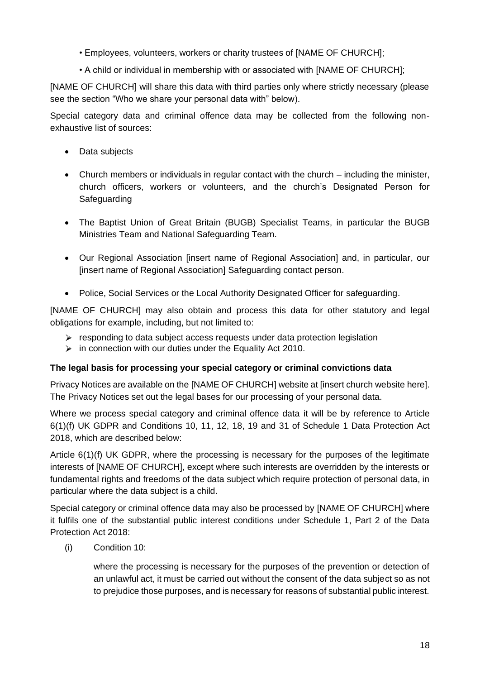- Employees, volunteers, workers or charity trustees of [NAME OF CHURCH];
- A child or individual in membership with or associated with [NAME OF CHURCH];

[NAME OF CHURCH] will share this data with third parties only where strictly necessary (please see the section "Who we share your personal data with" below).

Special category data and criminal offence data may be collected from the following nonexhaustive list of sources:

- Data subjects
- Church members or individuals in regular contact with the church including the minister, church officers, workers or volunteers, and the church's Designated Person for Safeguarding
- The Baptist Union of Great Britain (BUGB) Specialist Teams, in particular the BUGB Ministries Team and National Safeguarding Team.
- Our Regional Association [insert name of Regional Association] and, in particular, our [insert name of Regional Association] Safeguarding contact person.
- Police, Social Services or the Local Authority Designated Officer for safeguarding.

[NAME OF CHURCH] may also obtain and process this data for other statutory and legal obligations for example, including, but not limited to:

- $\triangleright$  responding to data subject access requests under data protection legislation
- $\triangleright$  in connection with our duties under the Equality Act 2010.

#### **The legal basis for processing your special category or criminal convictions data**

Privacy Notices are available on the [NAME OF CHURCH] website at [insert church website here]. The Privacy Notices set out the legal bases for our processing of your personal data.

Where we process special category and criminal offence data it will be by reference to Article 6(1)(f) UK GDPR and Conditions 10, 11, 12, 18, 19 and 31 of Schedule 1 Data Protection Act 2018, which are described below:

Article 6(1)(f) UK GDPR, where the processing is necessary for the purposes of the legitimate interests of [NAME OF CHURCH], except where such interests are overridden by the interests or fundamental rights and freedoms of the data subject which require protection of personal data, in particular where the data subject is a child.

Special category or criminal offence data may also be processed by [NAME OF CHURCH] where it fulfils one of the substantial public interest conditions under Schedule 1, Part 2 of the Data Protection Act 2018:

(i) Condition 10:

where the processing is necessary for the purposes of the prevention or detection of an unlawful act, it must be carried out without the consent of the data subject so as not to prejudice those purposes, and is necessary for reasons of substantial public interest.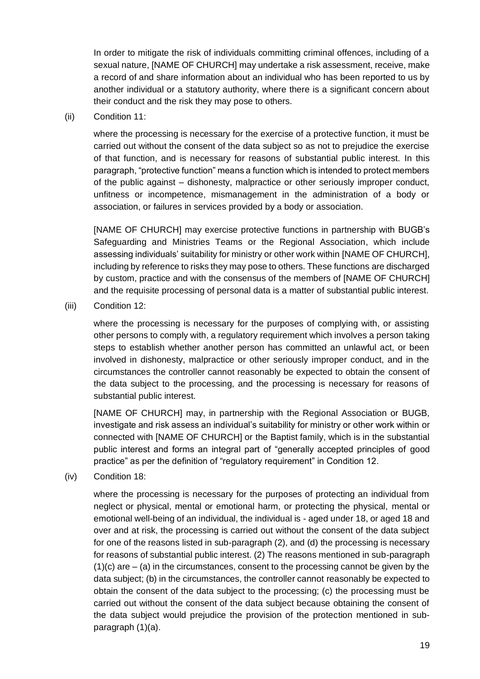In order to mitigate the risk of individuals committing criminal offences, including of a sexual nature, [NAME OF CHURCH] may undertake a risk assessment, receive, make a record of and share information about an individual who has been reported to us by another individual or a statutory authority, where there is a significant concern about their conduct and the risk they may pose to others.

(ii) Condition 11:

where the processing is necessary for the exercise of a protective function, it must be carried out without the consent of the data subject so as not to prejudice the exercise of that function, and is necessary for reasons of substantial public interest. In this paragraph, "protective function" means a function which is intended to protect members of the public against – dishonesty, malpractice or other seriously improper conduct, unfitness or incompetence, mismanagement in the administration of a body or association, or failures in services provided by a body or association.

[NAME OF CHURCH] may exercise protective functions in partnership with BUGB's Safeguarding and Ministries Teams or the Regional Association, which include assessing individuals' suitability for ministry or other work within [NAME OF CHURCH], including by reference to risks they may pose to others. These functions are discharged by custom, practice and with the consensus of the members of [NAME OF CHURCH] and the requisite processing of personal data is a matter of substantial public interest.

(iii) Condition 12:

where the processing is necessary for the purposes of complying with, or assisting other persons to comply with, a regulatory requirement which involves a person taking steps to establish whether another person has committed an unlawful act, or been involved in dishonesty, malpractice or other seriously improper conduct, and in the circumstances the controller cannot reasonably be expected to obtain the consent of the data subject to the processing, and the processing is necessary for reasons of substantial public interest.

[NAME OF CHURCH] may, in partnership with the Regional Association or BUGB, investigate and risk assess an individual's suitability for ministry or other work within or connected with [NAME OF CHURCH] or the Baptist family, which is in the substantial public interest and forms an integral part of "generally accepted principles of good practice" as per the definition of "regulatory requirement" in Condition 12.

(iv) Condition 18:

where the processing is necessary for the purposes of protecting an individual from neglect or physical, mental or emotional harm, or protecting the physical, mental or emotional well-being of an individual, the individual is - aged under 18, or aged 18 and over and at risk, the processing is carried out without the consent of the data subject for one of the reasons listed in sub-paragraph (2), and (d) the processing is necessary for reasons of substantial public interest. (2) The reasons mentioned in sub-paragraph  $(1)(c)$  are  $-(a)$  in the circumstances, consent to the processing cannot be given by the data subject; (b) in the circumstances, the controller cannot reasonably be expected to obtain the consent of the data subject to the processing; (c) the processing must be carried out without the consent of the data subject because obtaining the consent of the data subject would prejudice the provision of the protection mentioned in subparagraph (1)(a).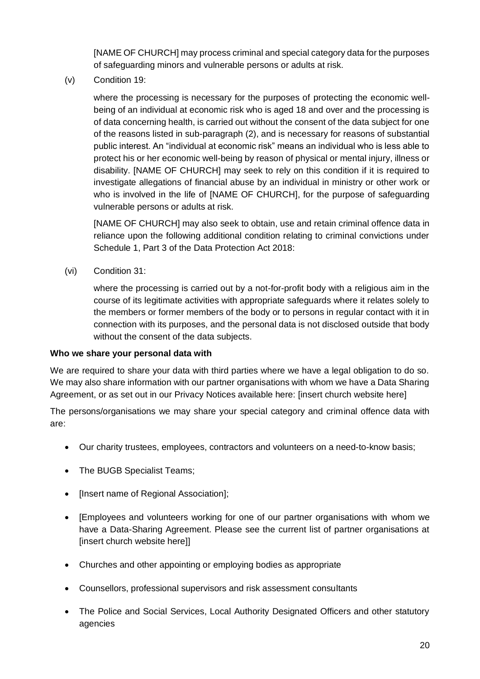[NAME OF CHURCH] may process criminal and special category data for the purposes of safeguarding minors and vulnerable persons or adults at risk.

(v) Condition 19:

where the processing is necessary for the purposes of protecting the economic wellbeing of an individual at economic risk who is aged 18 and over and the processing is of data concerning health, is carried out without the consent of the data subject for one of the reasons listed in sub-paragraph (2), and is necessary for reasons of substantial public interest. An "individual at economic risk" means an individual who is less able to protect his or her economic well-being by reason of physical or mental injury, illness or disability. [NAME OF CHURCH] may seek to rely on this condition if it is required to investigate allegations of financial abuse by an individual in ministry or other work or who is involved in the life of [NAME OF CHURCH], for the purpose of safeguarding vulnerable persons or adults at risk.

[NAME OF CHURCH] may also seek to obtain, use and retain criminal offence data in reliance upon the following additional condition relating to criminal convictions under Schedule 1, Part 3 of the Data Protection Act 2018:

(vi) Condition 31:

where the processing is carried out by a not-for-profit body with a religious aim in the course of its legitimate activities with appropriate safeguards where it relates solely to the members or former members of the body or to persons in regular contact with it in connection with its purposes, and the personal data is not disclosed outside that body without the consent of the data subjects.

## **Who we share your personal data with**

We are required to share your data with third parties where we have a legal obligation to do so. We may also share information with our partner organisations with whom we have a Data Sharing Agreement, or as set out in our Privacy Notices available here: [insert church website here]

The persons/organisations we may share your special category and criminal offence data with are:

- Our charity trustees, employees, contractors and volunteers on a need-to-know basis;
- The BUGB Specialist Teams;
- [Insert name of Regional Association];
- [Employees and volunteers working for one of our partner organisations with whom we have a Data-Sharing Agreement. Please see the current list of partner organisations at [insert church website here]]
- Churches and other appointing or employing bodies as appropriate
- Counsellors, professional supervisors and risk assessment consultants
- The Police and Social Services, Local Authority Designated Officers and other statutory agencies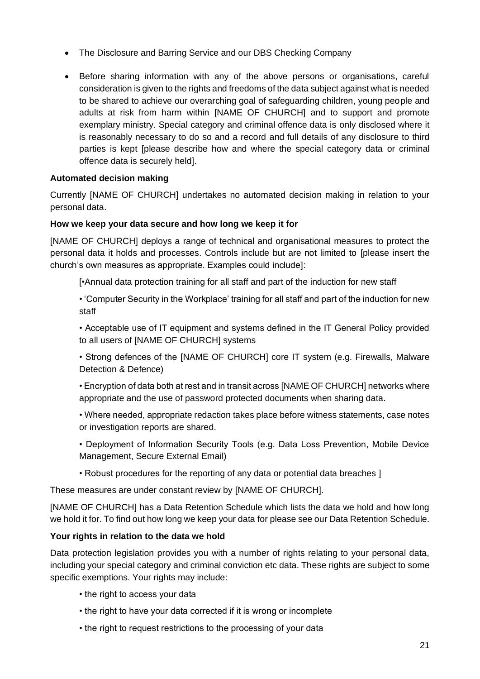- The Disclosure and Barring Service and our DBS Checking Company
- Before sharing information with any of the above persons or organisations, careful consideration is given to the rights and freedoms of the data subject against what is needed to be shared to achieve our overarching goal of safeguarding children, young people and adults at risk from harm within [NAME OF CHURCH] and to support and promote exemplary ministry. Special category and criminal offence data is only disclosed where it is reasonably necessary to do so and a record and full details of any disclosure to third parties is kept [please describe how and where the special category data or criminal offence data is securely held].

# **Automated decision making**

Currently [NAME OF CHURCH] undertakes no automated decision making in relation to your personal data.

## **How we keep your data secure and how long we keep it for**

[NAME OF CHURCH] deploys a range of technical and organisational measures to protect the personal data it holds and processes. Controls include but are not limited to [please insert the church's own measures as appropriate. Examples could include]:

[•Annual data protection training for all staff and part of the induction for new staff

• 'Computer Security in the Workplace' training for all staff and part of the induction for new staff

• Acceptable use of IT equipment and systems defined in the IT General Policy provided to all users of [NAME OF CHURCH] systems

• Strong defences of the [NAME OF CHURCH] core IT system (e.g. Firewalls, Malware Detection & Defence)

• Encryption of data both at rest and in transit across [NAME OF CHURCH] networks where appropriate and the use of password protected documents when sharing data.

• Where needed, appropriate redaction takes place before witness statements, case notes or investigation reports are shared.

• Deployment of Information Security Tools (e.g. Data Loss Prevention, Mobile Device Management, Secure External Email)

• Robust procedures for the reporting of any data or potential data breaches ]

These measures are under constant review by [NAME OF CHURCH].

[NAME OF CHURCH] has a Data Retention Schedule which lists the data we hold and how long we hold it for. To find out how long we keep your data for please see our Data Retention Schedule.

## **Your rights in relation to the data we hold**

Data protection legislation provides you with a number of rights relating to your personal data, including your special category and criminal conviction etc data. These rights are subject to some specific exemptions. Your rights may include:

- the right to access your data
- the right to have your data corrected if it is wrong or incomplete
- the right to request restrictions to the processing of your data